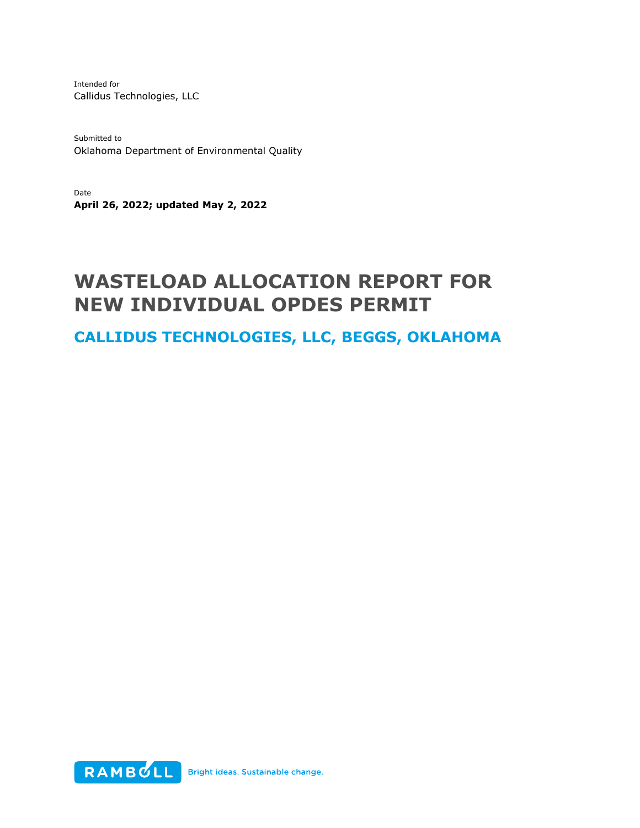Intended for Callidus Technologies, LLC

Submitted to Oklahoma Department of Environmental Quality

Date **April 26, 2022; updated May 2, 2022**

# **WASTELOAD ALLOCATION REPORT FOR NEW INDIVIDUAL OPDES PERMIT**

**CALLIDUS TECHNOLOGIES, LLC, BEGGS, OKLAHOMA**

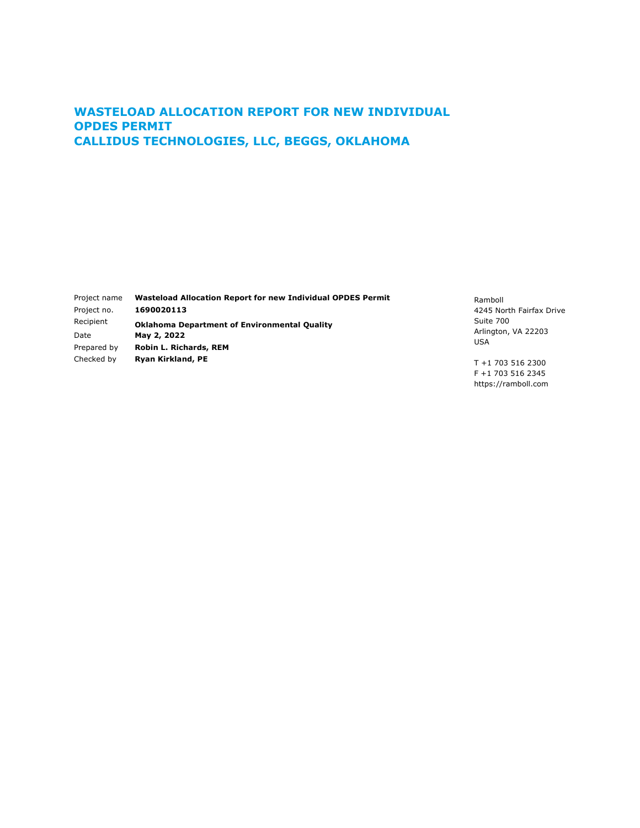### **WASTELOAD ALLOCATION REPORT FOR NEW INDIVIDUAL OPDES PERMIT CALLIDUS TECHNOLOGIES, LLC, BEGGS, OKLAHOMA**

| Project name<br>Project no. | <b>Wasteload Allocation Report for new Individual OPDES Permit</b><br>1690020113 |
|-----------------------------|----------------------------------------------------------------------------------|
| Recipient                   | <b>Oklahoma Department of Environmental Quality</b>                              |
| Date                        | May 2, 2022                                                                      |
| Prepared by                 | Robin L. Richards, REM                                                           |
| Checked by                  | <b>Ryan Kirkland, PE</b>                                                         |

Ramboll 4245 North Fairfax Drive Suite 700 Arlington, VA 22203 USA

T +1 703 516 2300 F +1 703 516 2345 https://ramboll.com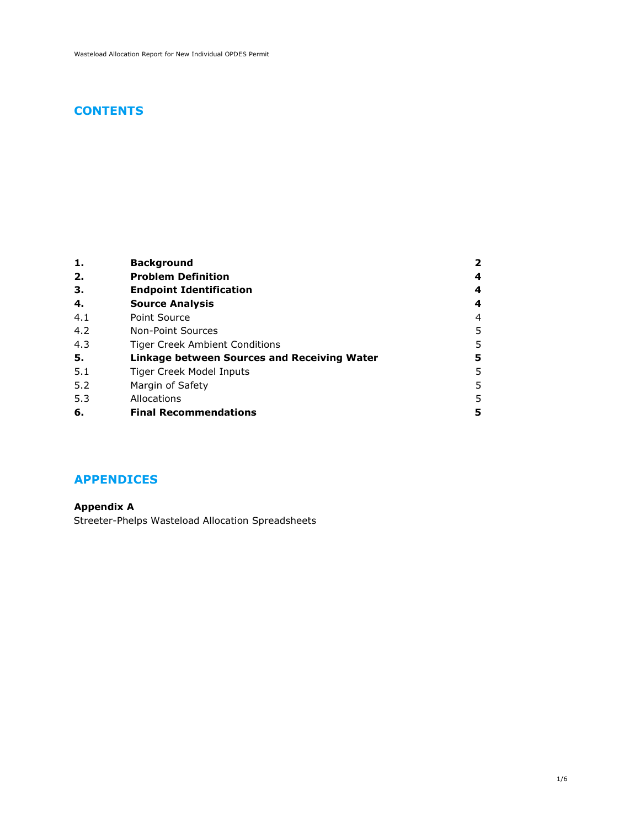### **CONTENTS**

| 1.  | <b>Background</b>                           | 2 |
|-----|---------------------------------------------|---|
| 2.  | <b>Problem Definition</b>                   | 4 |
| 3.  | <b>Endpoint Identification</b>              | 4 |
| 4.  | <b>Source Analysis</b>                      | 4 |
| 4.1 | Point Source                                | 4 |
| 4.2 | Non-Point Sources                           | 5 |
| 4.3 | Tiger Creek Ambient Conditions              | 5 |
| 5.  | Linkage between Sources and Receiving Water | 5 |
| 5.1 | Tiger Creek Model Inputs                    | 5 |
| 5.2 | Margin of Safety                            | 5 |
| 5.3 | Allocations                                 | 5 |
| 6.  | <b>Final Recommendations</b>                | 5 |

### **APPENDICES**

**[Appendix A](#page-7-0)** [Streeter-Phelps Wasteload Allocation Spreadsheets](#page-7-1)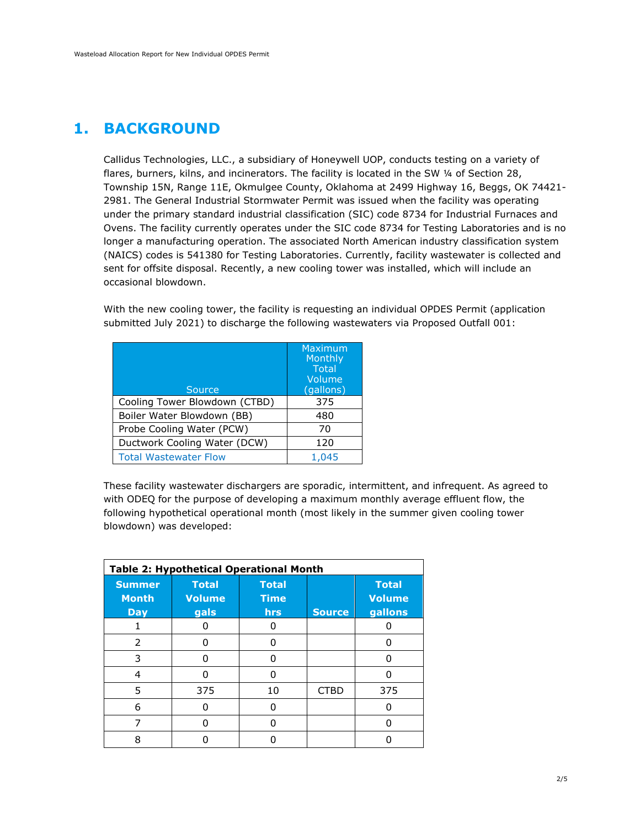## <span id="page-3-0"></span>**1. BACKGROUND**

Callidus Technologies, LLC., a subsidiary of Honeywell UOP, conducts testing on a variety of flares, burners, kilns, and incinerators. The facility is located in the SW 1/4 of Section 28, Township 15N, Range 11E, Okmulgee County, Oklahoma at 2499 Highway 16, Beggs, OK 74421- 2981. The General Industrial Stormwater Permit was issued when the facility was operating under the primary standard industrial classification (SIC) code 8734 for Industrial Furnaces and Ovens. The facility currently operates under the SIC code 8734 for Testing Laboratories and is no longer a manufacturing operation. The associated North American industry classification system (NAICS) codes is 541380 for Testing Laboratories. Currently, facility wastewater is collected and sent for offsite disposal. Recently, a new cooling tower was installed, which will include an occasional blowdown.

With the new cooling tower, the facility is requesting an individual OPDES Permit (application submitted July 2021) to discharge the following wastewaters via Proposed Outfall 001:

| Source                        | Maximum<br>Monthly<br><b>Total</b><br>Volume<br>(gallons) |
|-------------------------------|-----------------------------------------------------------|
| Cooling Tower Blowdown (CTBD) | 375                                                       |
| Boiler Water Blowdown (BB)    | 480                                                       |
| Probe Cooling Water (PCW)     | 70                                                        |
| Ductwork Cooling Water (DCW)  | 120                                                       |
| <b>Total Wastewater Flow</b>  | 1,045                                                     |

These facility wastewater dischargers are sporadic, intermittent, and infrequent. As agreed to with ODEQ for the purpose of developing a maximum monthly average effluent flow, the following hypothetical operational month (most likely in the summer given cooling tower blowdown) was developed:

|                                             | <b>Table 2: Hypothetical Operational Month</b> |                                           |               |                                          |
|---------------------------------------------|------------------------------------------------|-------------------------------------------|---------------|------------------------------------------|
| <b>Summer</b><br><b>Month</b><br><b>Day</b> | <b>Total</b><br><b>Volume</b><br>gals          | <b>Total</b><br><b>Time</b><br><b>hrs</b> | <b>Source</b> | <b>Total</b><br><b>Volume</b><br>gallons |
|                                             |                                                |                                           |               |                                          |
| 2                                           |                                                |                                           |               |                                          |
| 3                                           | n                                              | n                                         |               |                                          |
| 4                                           |                                                | n                                         |               |                                          |
| 5                                           | 375                                            | 10                                        | <b>CTBD</b>   | 375                                      |
| 6                                           |                                                |                                           |               |                                          |
| 7                                           |                                                |                                           |               |                                          |
| 8                                           |                                                |                                           |               |                                          |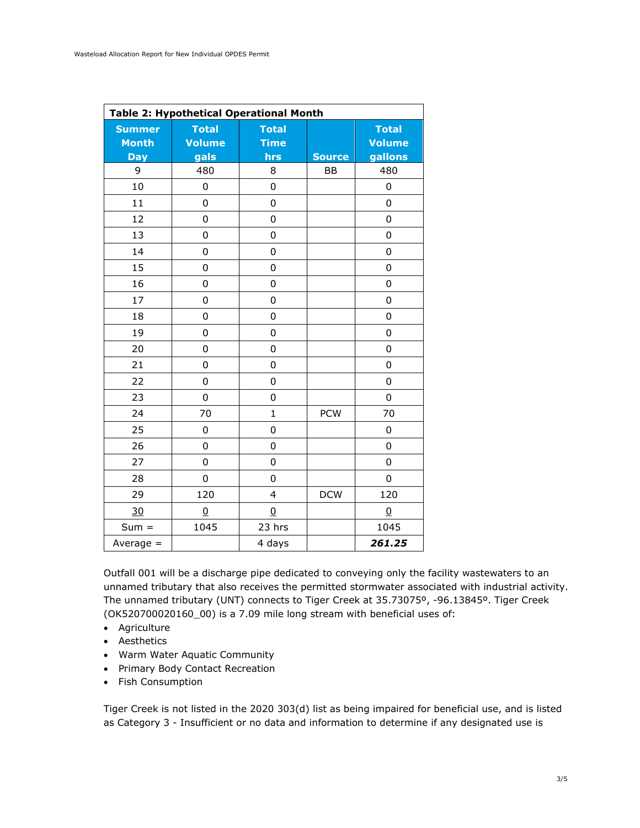|                               |                        | <b>Table 2: Hypothetical Operational Month</b> |               |                               |
|-------------------------------|------------------------|------------------------------------------------|---------------|-------------------------------|
| <b>Summer</b><br><b>Month</b> | <b>Total</b><br>Volume | <b>Total</b><br><b>Time</b>                    |               | <b>Total</b><br><b>Volume</b> |
| <b>Day</b>                    | gals                   | hrs                                            | <b>Source</b> | gallons                       |
| 9                             | 480                    | 8                                              | <b>BB</b>     | 480                           |
| 10                            | $\mathbf 0$            | 0                                              |               | $\mathbf 0$                   |
| 11                            | 0                      | 0                                              |               | $\mathbf 0$                   |
| 12                            | $\mathbf 0$            | 0                                              |               | $\mathbf 0$                   |
| 13                            | $\mathbf 0$            | 0                                              |               | $\mathbf 0$                   |
| 14                            | $\mathbf 0$            | $\mathbf 0$                                    |               | $\mathbf 0$                   |
| 15                            | $\mathsf 0$            | 0                                              |               | $\mathbf 0$                   |
| 16                            | $\mathbf 0$            | 0                                              |               | $\mathbf 0$                   |
| 17                            | $\mathbf 0$            | 0                                              |               | $\mathbf 0$                   |
| 18                            | $\mathbf 0$            | 0                                              |               | $\mathbf 0$                   |
| 19                            | 0                      | 0                                              |               | $\mathbf 0$                   |
| 20                            | $\mathsf 0$            | 0                                              |               | $\mathbf 0$                   |
| 21                            | 0                      | 0                                              |               | $\mathbf 0$                   |
| 22                            | 0                      | 0                                              |               | 0                             |
| 23                            | 0                      | 0                                              |               | $\mathbf 0$                   |
| 24                            | 70                     | $\mathbf{1}$                                   | <b>PCW</b>    | 70                            |
| 25                            | $\mathbf 0$            | 0                                              |               | $\mathbf 0$                   |
| 26                            | 0                      | 0                                              |               | 0                             |
| 27                            | 0                      | 0                                              |               | 0                             |
| 28                            | 0                      | 0                                              |               | 0                             |
| 29                            | 120                    | $\overline{4}$                                 | <b>DCW</b>    | 120                           |
| 30                            | $\overline{0}$         | $\overline{0}$                                 |               | $\overline{0}$                |
| $Sum =$                       | 1045                   | 23 hrs                                         |               | 1045                          |
| Average $=$                   |                        | 4 days                                         |               | 261.25                        |

Outfall 001 will be a discharge pipe dedicated to conveying only the facility wastewaters to an unnamed tributary that also receives the permitted stormwater associated with industrial activity. The unnamed tributary (UNT) connects to Tiger Creek at 35.73075º, -96.13845º. Tiger Creek (OK520700020160\_00) is a 7.09 mile long stream with beneficial uses of:

- Agriculture
- Aesthetics
- Warm Water Aquatic Community
- Primary Body Contact Recreation
- Fish Consumption

Tiger Creek is not listed in the 2020 303(d) list as being impaired for beneficial use, and is listed as Category 3 - Insufficient or no data and information to determine if any designated use is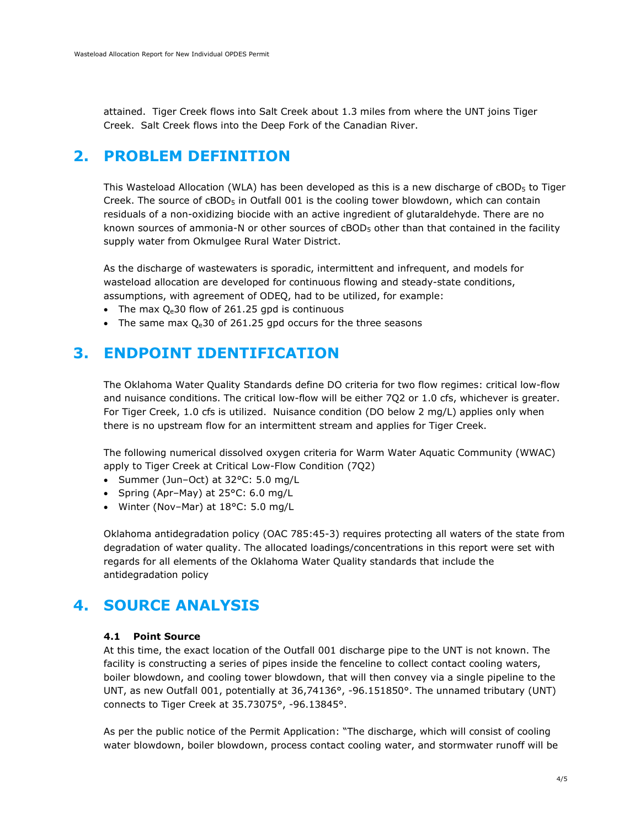<span id="page-5-0"></span>attained. Tiger Creek flows into Salt Creek about 1.3 miles from where the UNT joins Tiger Creek. Salt Creek flows into the Deep Fork of the Canadian River.

## **2. PROBLEM DEFINITION**

This Wasteload Allocation (WLA) has been developed as this is a new discharge of cBOD<sub>5</sub> to Tiger Creek. The source of cBOD<sub>5</sub> in Outfall 001 is the cooling tower blowdown, which can contain residuals of a non-oxidizing biocide with an active ingredient of glutaraldehyde. There are no known sources of ammonia-N or other sources of  $\text{cBOD}_5$  other than that contained in the facility supply water from Okmulgee Rural Water District.

As the discharge of wastewaters is sporadic, intermittent and infrequent, and models for wasteload allocation are developed for continuous flowing and steady-state conditions, assumptions, with agreement of ODEQ, had to be utilized, for example:

- The max  $Q_e$ 30 flow of 261.25 gpd is continuous
- <span id="page-5-1"></span>• The same max  $Q_e$ 30 of 261.25 gpd occurs for the three seasons

## **3. ENDPOINT IDENTIFICATION**

The Oklahoma Water Quality Standards define DO criteria for two flow regimes: critical low-flow and nuisance conditions. The critical low-flow will be either 7Q2 or 1.0 cfs, whichever is greater. For Tiger Creek, 1.0 cfs is utilized. Nuisance condition (DO below 2 mg/L) applies only when there is no upstream flow for an intermittent stream and applies for Tiger Creek.

The following numerical dissolved oxygen criteria for Warm Water Aquatic Community (WWAC) apply to Tiger Creek at Critical Low-Flow Condition (7Q2)

- Summer (Jun–Oct) at 32°C: 5.0 mg/L
- Spring (Apr–May) at 25°C: 6.0 mg/L
- Winter (Nov-Mar) at 18°C: 5.0 mg/L

Oklahoma antidegradation policy (OAC 785:45-3) requires protecting all waters of the state from degradation of water quality. The allocated loadings/concentrations in this report were set with regards for all elements of the Oklahoma Water Quality standards that include the antidegradation policy

## <span id="page-5-2"></span>**4. SOURCE ANALYSIS**

#### <span id="page-5-3"></span>**4.1 Point Source**

At this time, the exact location of the Outfall 001 discharge pipe to the UNT is not known. The facility is constructing a series of pipes inside the fenceline to collect contact cooling waters, boiler blowdown, and cooling tower blowdown, that will then convey via a single pipeline to the UNT, as new Outfall 001, potentially at 36,74136°, -96.151850°. The unnamed tributary (UNT) connects to Tiger Creek at 35.73075°, -96.13845°.

As per the public notice of the Permit Application: "The discharge, which will consist of cooling water blowdown, boiler blowdown, process contact cooling water, and stormwater runoff will be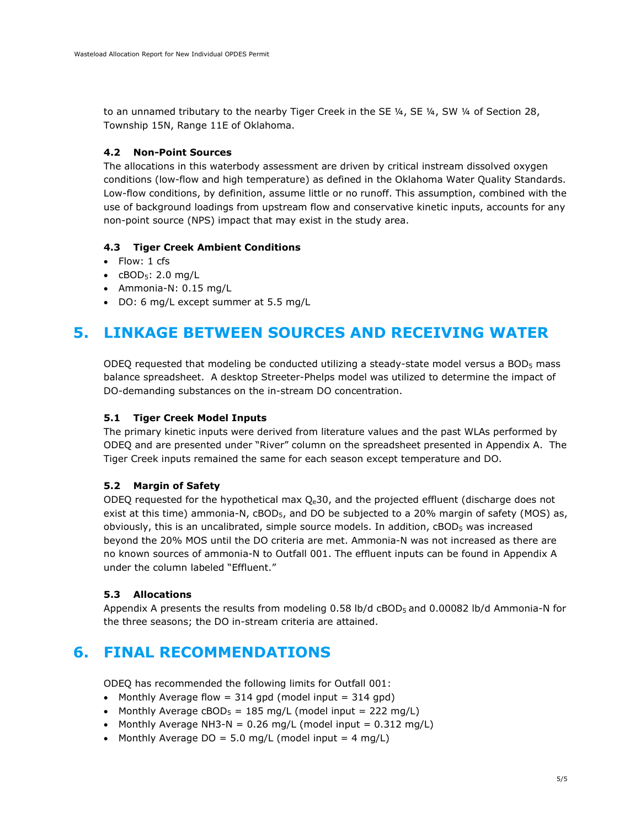to an unnamed tributary to the nearby Tiger Creek in the SE 1/4, SE 1/4, SW 1/4 of Section 28, Township 15N, Range 11E of Oklahoma.

#### <span id="page-6-0"></span>**4.2 Non-Point Sources**

The allocations in this waterbody assessment are driven by critical instream dissolved oxygen conditions (low-flow and high temperature) as defined in the Oklahoma Water Quality Standards. Low-flow conditions, by definition, assume little or no runoff. This assumption, combined with the use of background loadings from upstream flow and conservative kinetic inputs, accounts for any non-point source (NPS) impact that may exist in the study area.

### <span id="page-6-1"></span>**4.3 Tiger Creek Ambient Conditions**

- Flow: 1 cfs
- $\bullet$  cBOD<sub>5</sub>: 2.0 mg/L
- Ammonia-N: 0.15 mg/L
- <span id="page-6-2"></span>• DO: 6 mg/L except summer at 5.5 mg/L

## **5. LINKAGE BETWEEN SOURCES AND RECEIVING WATER**

ODEQ requested that modeling be conducted utilizing a steady-state model versus a BOD<sub>5</sub> mass balance spreadsheet. A desktop Streeter-Phelps model was utilized to determine the impact of DO-demanding substances on the in-stream DO concentration.

#### <span id="page-6-3"></span>**5.1 Tiger Creek Model Inputs**

The primary kinetic inputs were derived from literature values and the past WLAs performed by ODEQ and are presented under "River" column on the spreadsheet presented in Appendix A. The Tiger Creek inputs remained the same for each season except temperature and DO.

### <span id="page-6-4"></span>**5.2 Margin of Safety**

ODEQ requested for the hypothetical max  $Q<sub>e</sub>$ 30, and the projected effluent (discharge does not exist at this time) ammonia-N, cBOD<sub>5</sub>, and DO be subjected to a 20% margin of safety (MOS) as, obviously, this is an uncalibrated, simple source models. In addition, cBOD5 was increased beyond the 20% MOS until the DO criteria are met. Ammonia-N was not increased as there are no known sources of ammonia-N to Outfall 001. The effluent inputs can be found in Appendix A under the column labeled "Effluent."

### <span id="page-6-5"></span>**5.3 Allocations**

<span id="page-6-6"></span>Appendix A presents the results from modeling 0.58 lb/d cBOD<sub>5</sub> and 0.00082 lb/d Ammonia-N for the three seasons; the DO in-stream criteria are attained.

## **6. FINAL RECOMMENDATIONS**

ODEQ has recommended the following limits for Outfall 001:

- Monthly Average flow  $= 314$  gpd (model input  $= 314$  gpd)
- Monthly Average  $cBOD_5 = 185$  mg/L (model input = 222 mg/L)
- Monthly Average NH3-N =  $0.26$  mg/L (model input =  $0.312$  mg/L)
- Monthly Average DO = 5.0 mg/L (model input =  $4 \text{ mg/L}$ )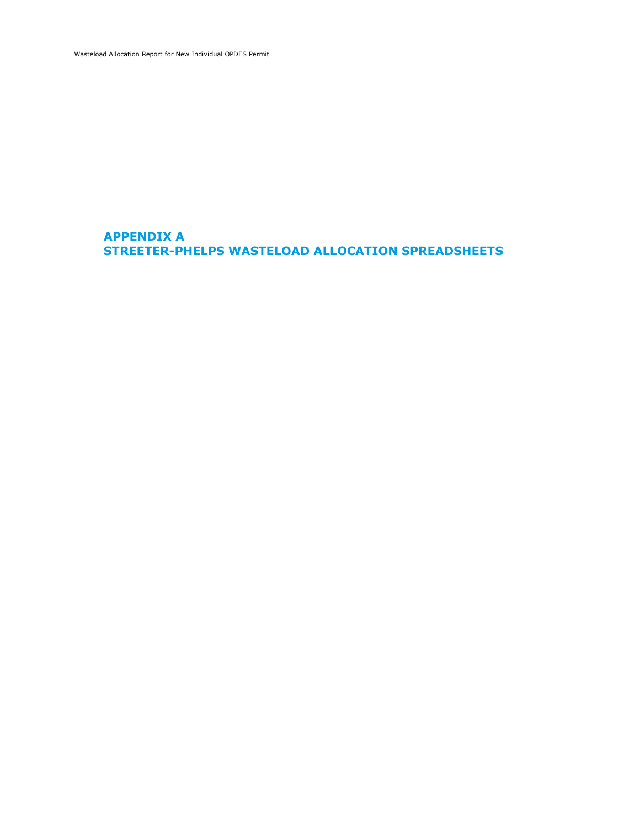<span id="page-7-0"></span>Wasteload Allocation Report for New Individual OPDES Permit

### <span id="page-7-1"></span>**APPENDIX A STREETER-PHELPS WASTELOAD ALLOCATION SPREADSHEETS**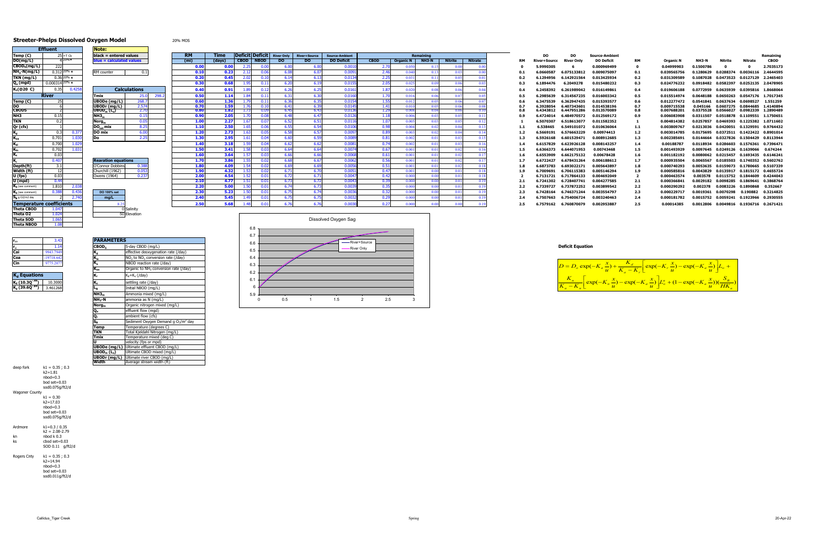#### **Streeter-Phelps Dissolved Oxygen Model** 20% MOS

|             | Deficit Deficit | <b>River Only</b> | <b>River+Source</b> | <b>Source-Ambient</b> |             |                  | Remaining                  |                |                |           | DO                  | <b>DO</b>         | <b>Source-Ambient</b> |           |                  |           |                                            |                     | Remaining |
|-------------|-----------------|-------------------|---------------------|-----------------------|-------------|------------------|----------------------------|----------------|----------------|-----------|---------------------|-------------------|-----------------------|-----------|------------------|-----------|--------------------------------------------|---------------------|-----------|
| <b>CBOD</b> | <b>NBOD</b>     | DO.               | DO.                 | <b>DO Deficit</b>     | <b>CBOD</b> | <b>Organic N</b> | <b>NH3-N</b>               | <b>Nitrite</b> | <b>Nitrate</b> | <b>RM</b> | <b>River+Source</b> | <b>River Only</b> | <b>DO Deficit</b>     | <b>RM</b> | <b>Organic N</b> | NH3-N     | Nitrite                                    | Nitrate             | CBOD      |
|             | 0.00            | 6.00              | 6.0                 | 0.001                 | 2.70        | 0.050            | 0.15                       | 0.0            |                |           | 5.9990305           | 6                 | 0.000969499           |           | 0.04999903       | 0.1500786 |                                            | 0                   | 2.7035173 |
| 2.12        | 0.06            | 6.08              | 6.07                | 0.0091                | 2.46        | 0.040            | 0.13                       | 0.03           |                | 0.1       | 6.0660587           | 6.075133812       | 0.009075097           | 0.1       | 0.039565756      | 0.1280629 | 0.0288374                                  | 0.0036116           | 2.4644595 |
| 2.02        | 0.10            | 6.14              | 6.13                | 0.0134                | 2.25        | 0.031            | 0.11                       | 0.05           | 0.01           | 0.2       | 6.1294956           | 6.142921564       | 0.013425934           | 0.2       | 0.031309589      | 0.1087028 | 0.0473523  0.0127129  2.2465403            |                     |           |
| 1.95        | 0.11            | 6.20              | 6.19                | 0.0155                | 2.05        | 0.025            | 0.09                       | 0.06           | 0.03           | 0.3       | 6.1894476           | 6.2049278         | 0.015480232           | 0.3       | 0.024776232      |           | 0.0918482 0.0582397                        | 0.0252135           | 2.0478905 |
| 1.89        | 0.12            | 6.26              | 6.25                | 0.0161                | 1.87        | 0.020            | 0.08                       | 0.06           | 0.04           | 0.4       | 6.2458392           | 6.261989042       | 0.016149861           | 0.4       | 0.019606188      |           | 0.0772959  0.0635939  0.0395816  1.8668064 |                     |           |
| 1.84        | 0.11            | 6.31              | 6.30                | 0.0160                | 1.70        | 0.016            | 0.06                       | 0.0            |                | 0.5       | 6.2985639           | 6.314567235       | 0.016003342           | 0.5       | 0.015514974      | 0.0648188 | 0.0650263                                  | 0.0547176 1.7017345 |           |
| 1.79        | 0.11            | 6.36              | 6.35                | 0.0154                | 1.55        | 0.012            | 0.05                       | 0.06           |                | 0.6       | 6.3475539           | 6.362947435       | 0.015393577           | 0.6       | 0.012277472      | 0.0541841 | 0.0637634                                  | 0.0698527           | 1.551259  |
| 1.76        | 0.10            | 6.41              | 6.39                | 0.0145                | 1.41        | 0.010            | 0.05                       | 0.06           | 0.05           | 0.7       | 6.3928054           | 6.407343601       | 0.014538196           | 0.7       | 0.009715538      | 0.045166  | 0.0607275 0.0844685                        |                     | 1.4140894 |
| 1.73        | 0.09            | 6.45              | 6.43                | 0.013                 | 1.29        | 0.008            | 0.04                       | 0.06           |                | 0.8       | 6.4343812           | 6.447951286       | 0.013570089           | 0.8       | 0.007688201      | 0.0375528 | 0.0566027 0.0982339                        |                     | 1.2890489 |
| 1.70        | 0.08            | 6.48              | 6.47                | 0.0126                | 1.18        | 0.006            | 0.03                       | 0.03           | 0.1            | 0.9       | 6.4724014           | 6.484970572       | 0.012569172           | 0.9       | 0.006083908      | 0.0311507 | 0.0518878                                  | 0.1109551 1.1750651 |           |
| 1.67        | 0.07            | 6.52              | 6.51                | 0.0116                | 1.07        | 0.005            | 0.03                       | 0.05           | 0.12           |           | 6.5070307           | 6.518613077       | 0.011582352           |           | 0.004814382      | 0.0257857 | 0.0469393  0.1225382  1.0711602            |                     |           |
| L.65        | 0.06            | 6.55              | 6.54                | 0.0106                | 0.98        | 0.004            | 0.02                       | 0.04           | 0.13           | 1.1       | 6.538465            | 6.549101072       | 0.010636064           | 1.1       | 0.003809767      | 0.0213036 | 0.0420051 0.1329591                        |                     | 0.9764432 |
| 1.63        | 0.05            | 6.58              | 6.57                | 0.0097                | 0.89        | 0.003            | 0.02                       | 0.04           | 0.14           | $1.2$     | 6.5669191           | 6.576663229       | 0.00974413            | 1.2       | 0.003014785      | 0.0175695 | 0.0372511 0.1422422                        |                     | 0.8901014 |
| 1.61        | 0.04            | 6.60              | 6.59                | 0.008                 | 0.81        | 0.002            | 0.01                       | 0.03           | 0.15           | 1.3       | 6.5926168           | 6.601529471       | 0.008912685           | 1.3       | 0.002385691      | 0.0144664 | 0.0327826 0.1504429                        |                     | 0.8113944 |
| 1.59        | 0.04            | 6.62              | 6.62                | 0.008                 | 0.74        | 0.002            | 0.01                       | 0.03           | 0.16           | 1.4       | 6.6157829           | 6.623926128       | 0.008143257           | 1.4       | 0.0018878        | 0.0118934 | 0.0286603   0.1576361                      |                     | 0.7396471 |
| 1.58        | 0.03            | 6.64              | 6.64                | 0.0074                | 0.67        | 0.001            | 0.01                       | 0.02           | 0.16           | 1.5       | 6.6366373           | 6.644071953       | 0.00743468            | 1.5       | 0.001493929      |           | 0.0097645  0.0249126  0.1639066            |                     | 0.674244  |
| 1.57        | 0.03            | 6.66              | 6.66                | 0.0068                | 0.61        | 0.001            | 0.01                       | 0.02           | 0.17           | 1.6       | 6.6553909           | 6.662175132       | 0.00678428            | 1.6       | 0.001182192      | 0.0080062 | 0.0215457  0.1693435  0.6146241            |                     |           |
| 1.55        | 0.02            | 6.68              | 6.67                | 0.0062                | 0.56        | 0.001            | 0.01                       | 0.02           | $0.1^{\circ}$  | 1.7       | 6.6722427           | 6.678431264       | 0.006188612           | 1.7       | 0.000935504      | 0.0065567 |                                            | 0.0185503 0.1740352 | 0.5602762 |
| 1.54        | 0.02            | 6.69              | 6.69                | 0.0056                | 0.51        | 0.001            | 0.01                       | 0.02           | 0.18           | 1.8       | 6.6873783           | 6.693022171       | 0.005643897           | 1.8       | 0.000740293      | 0.0053635 | 0.0159073  0.1780665  0.5107339            |                     |           |
| 1.53        | 0.02            | 6.71              | 6.70                | 0.0051                | 0.47        | 0.001            | 0.00                       | 0.01           |                | 1.9       | 6.7009691           | 6.706115383       | 0.005146294           | 1.9       | 0.000585816      | 0.0043829 | 0.0135917 0.1815172                        |                     | 0.4655724 |
| 1.52        | 0.01            | 6.72              | 6.71                | 0.0047                | 0.42        | 0.000            | 0.00                       | 0.01           | 0.18           |           | 6.7131721           | 6.717864133       | 0.004692049           |           | 0.000463574      | 0.003578  | 0.0115752 0.1844609                        |                     | 0.4244043 |
| 1.51        | 0.01            | 6.73              | 6.72                | 0.0043                | 0.39        | 0.000            | 0.00                       | 0.01           |                | 2.1       | 6.7241302           | 6.728407741       | 0.004277585           | 2.1       | 0.000366841      | 0.0029182 | 0.0098285 0.1869641                        |                     | 0.3868764 |
| 1.50        | 0.01            | 6.74              | 6.73                | 0.003                 | 0.35        | 0.000            | 0.00                       | 0.01           | 0.19           | 2.2       | 6.7339727           | 6.737872252       | 0.003899542           | 2.2       | 0.000290292      | 0.002378  | 0.0083226                                  | 0.1890868           | 0.352667  |
|             | 0.01            | 6.75              | 6.74                | 0.0036                | 0.32        | 0.000            | 0.00                       | 0.01           | 0.19           | 2.3       | 6.7428164           | 6.746371244       | 0.003554797           | 2.3       | 0.000229717      | 0.0019361 | 0.0070298                                  | 0.190882            | 0.3214825 |
| 1.49        | 0.01            | 6.75              | 6.75                | 0.0032                | 0.29        | 0.000            | 0.00                       | 0.01           | 0.19           | 2.4       | 6.7507663           | 6.754006724       | 0.003240463           | 2.4       | 0.000181782      | 0.0015752 | 0.0059241 0.1923966                        |                     | 0.2930555 |
| 1.48        | 0.01            | 6.76              | 6.76                | 0.0030                | 0.27        | 0.000            | 0 <sup>0<sup>c</sup></sup> | 0.00           | 0.19           | 2.5       | 6.7579162           | 6.760870079       | 0.002953887           | 2.5       | 0.00014385       |           | 0.0012806 0.0049816 0.1936716 0.2671421    |                     |           |
|             |                 |                   |                     |                       |             |                  |                            |                |                |           |                     |                   |                       |           |                  |           |                                            |                     |           |

|                                             | <b>Effluent</b>           |                         | Note:                                                                       |                 |
|---------------------------------------------|---------------------------|-------------------------|-----------------------------------------------------------------------------|-----------------|
| Temp (C)                                    |                           | $25 = T$ Ck             | black = entered values                                                      |                 |
| DO(mq/L)                                    |                           | 4 20%▼                  | blue = calculated values                                                    |                 |
| $\overline{\mathsf{CBOD}_5(\mathsf{mg/L})}$ | 222                       |                         |                                                                             |                 |
| $NH3-N(mq/L)$                               |                           | $0.312$ 20% $\triangle$ | RM counter                                                                  |                 |
| TKN (mg/L)                                  |                           | $0.36$ 20% $\triangle$  |                                                                             |                 |
| $Q_{\rm e}$ (mgd)                           | $0.000314$ <sup>20%</sup> |                         |                                                                             |                 |
| K <sub>1</sub> (@20 C)                      | 0.35                      | 0.4258                  | <b>Calculation</b>                                                          |                 |
|                                             | <b>River</b>              |                         | <b>Tmix</b>                                                                 |                 |
| Temp (C)                                    | 25                        |                         | UBODe (mg/L)                                                                | $\overline{26}$ |
| DO                                          | 6                         |                         | <b>UBODr</b> (mg/L)                                                         | $\frac{2}{4}$   |
| CBOD5                                       | $\overline{2}$            |                         | $\overline{\mathsf{UBOD}_{\mathsf{m}}\left(\mathsf{L}_{\mathsf{o}}\right)}$ |                 |
| NH <sub>3</sub>                             | 0.15                      |                         | NH3 <sub>m</sub>                                                            | ť               |
| <b>TKN</b>                                  | 0.2                       |                         | Norg <sub>m</sub>                                                           | Ó               |
| Qr (cfs)                                    | $\mathbf{1}$              |                         | DO <sub>sat</sub> mix                                                       | ٤               |
| K,                                          | 0.3                       | 0.377                   | DO mix                                                                      | ŧ               |
| $\overline{\textbf{K}}_{\textbf{oa}}$       | 0.701                     | 1.030                   | Do                                                                          |                 |
| $K_{ai}$                                    | 0.700                     | 1.029                   |                                                                             |                 |
| $K_{in}$                                    | 0.702                     | 1.031                   |                                                                             |                 |
| K,                                          | 0.03                      |                         |                                                                             |                 |
| K,                                          | 0.407                     |                         | <b>Rearation equations</b>                                                  |                 |
| Depth(ft)                                   | 3.1                       |                         | O'Connor Dobbins                                                            | 0.              |
| Width (ft)                                  | 12                        |                         | Churchill (1962)                                                            | 0.              |
| U (fps)                                     | 0.03                      |                         | Owens (1964)                                                                | Ō.              |
| U (mpd)                                     | 0.44                      |                         |                                                                             |                 |
| $K_a$ (see comment)                         | 1.810                     | 2.038                   |                                                                             |                 |
| $K_a$ (see comment)                         | 0.388                     | 0.436                   | DO 100% sat                                                                 |                 |
| $S_R$ q O2/m2 day                           | $\overline{2}$            | 2.740                   | mg/L                                                                        |                 |
| <b>Temperature coefficients</b>             |                           |                         | 8.25                                                                        |                 |
| <b>Theta CBOD</b>                           | 1.047                     |                         |                                                                             | 0 Salinity      |
| Theta 02                                    | 1.024                     |                         | 50 Elevation                                                                |                 |
| <b>Theta SOD</b>                            | 1.065                     |                         |                                                                             |                 |
| <b>Theta NBOD</b>                           | 1.08                      |                         |                                                                             |                 |

deep fork k1 = 0.35 ; 0.3 k2=1.81 nbod=0.3 bod set=0.03 sod0.075g/ft2/d Wagoner County k1 = 0.30 k2=17.03 nbod=0.3 bod set=0.03 sod0.075g/ft2/d Ardmore k1=0.3 / 0.35<br>
k2 = 2.08-2.79<br>
kn bod set=0.03<br>
sop 0.11 g/ft2/d

|                                         | <b>Effluent</b>                       |                           | Note:                                                       |                     |      |                   |                       |         |               |      |                                                |                                            |             |                   |           |                |                |     |                     |                   |                       |      |             |           |  |                                            |
|-----------------------------------------|---------------------------------------|---------------------------|-------------------------------------------------------------|---------------------|------|-------------------|-----------------------|---------|---------------|------|------------------------------------------------|--------------------------------------------|-------------|-------------------|-----------|----------------|----------------|-----|---------------------|-------------------|-----------------------|------|-------------|-----------|--|--------------------------------------------|
| Temp (C)                                |                                       | $25 = T$ Ck<br>$4120\%$ v | $black = entered values$<br><b>Plue = calculated values</b> |                     |      | RM.               | <b>Time</b><br>(davs) |         | CBOD   NBOD   |      | <b>Deficit Deficit</b> River Only River+Source | <b>Source-Ambient</b><br><b>DO Deficit</b> |             |                   | Remaining |                |                |     | DO.                 | DO                | <b>Source-Ambient</b> |      |             |           |  | Remaining<br><b>CBOD</b>                   |
| DO(mg/L)                                |                                       |                           |                                                             |                     |      | (m <sub>i</sub> ) |                       |         |               | DO.  | <b>DO</b>                                      |                                            | <b>CBOD</b> | Organic N   NH3-N |           | <b>Nitrite</b> | <b>Nitrate</b> |     | <b>River+Source</b> | <b>River Only</b> | <b>DO Deficit</b>     | RМ   | Organic N   | NH3-N     |  |                                            |
| CBOD <sub>5</sub> (mg/L)                |                                       |                           |                                                             |                     |      | 0.00              | 0.00                  |         |               |      |                                                | 0.00                                       |             | 0.05              |           |                |                |     | 5.9990305           |                   | 0.000969499           |      | 0.04999903  | 0.1500786 |  | 2.7035173                                  |
| NH <sub>3</sub> -N(mg/L)                | $0.312^{20\%}$ $\triangle$            |                           | RM counter                                                  | 0.1                 |      | 0.10              | 0.23                  | 2.12    |               |      | 6.07                                           | 0.009                                      | 2.46        | 0.04              |           |                |                |     | 6.0660587           | 6.075133812       | 0.009075097           | 0.1  | 0.039565756 |           |  | 0.1280629  0.0288374  0.0036116  2.4644595 |
| TKN (mg/L)                              |                                       | $0.3620\%$ $\triangle$    |                                                             |                     |      |                   | 0.45                  |         |               |      |                                                | 0.0134                                     |             |                   |           |                |                |     | 6.1294956           | 6.142921564       | 0.013425934           | 0.2  | 0.031309589 |           |  | 0.1087028  0.0473523  0.0127129  2.2465403 |
| Q <sub>e</sub> (mgd)                    | $0.000314$ <sup>20%</sup> $\triangle$ |                           |                                                             |                     |      | 0.30              | 0.68                  | 1.95    | 0.1           | 6.20 | 6.19                                           | 0.0155                                     | 2.05        | 0.025             |           | -0.06          |                |     | 6.1894476           | 6.2049278         | 0.015480232           | 0.3  | 0.024776232 |           |  | 0.0918482  0.0582397  0.0252135  2.0478905 |
| K1(@20 C)                               | 0.35                                  | 0.4258                    |                                                             | <b>Calculations</b> |      | 0.40              | 0.91                  |         | 0.1           | 6.26 | 6.25                                           | 0.016                                      | 1.87        | 0.02(             |           |                |                |     | 6.2458392           | 6.261989042       | 0.016149861           | 0.4  | 0.019606188 |           |  | 0.0772959  0.0635939  0.0395816  1.8668064 |
|                                         | <b>River</b>                          |                           | Tmix                                                        | 25.0                | 298. | 0.50              | 1.14                  |         | 0.1           | 6.31 | 6.30                                           | 0.0160                                     | 1.70        |                   |           |                |                |     | 6.2985639           | 6.314567235       | 0.016003342           | 0.5  | 0.015514974 |           |  | 0.0648188  0.0650263  0.0547176  1.7017345 |
| Temp (C)                                |                                       |                           | JBODe (mg/L)                                                | 268.7               |      | 0.60              | 1.36                  | 1.79    | 0.11          | 6.36 | 6.35                                           | 0.0154                                     | 1.55        | 0.01              |           | -0.06          |                |     | 6.3475539           | 6.362947435       | 0.015393577           | 0.6  | 0.012277472 | 0.0541841 |  | 0.0637634  0.0698527  1.551259             |
| DO.                                     |                                       |                           | UBODr (ma/L)                                                | 2.574               |      | 0.70              | 1.59                  | 1.76    | 01            | 6.41 | 6.39                                           | 0.0145                                     | 1.41        | 0.01              | 0.051     | -0.06          |                |     | 6.3928054           | 6.407343601       | 0.014538196           | 0.7  | 0.009715538 | 0.045166  |  | 0.0607275  0.0844685  1.4140894            |
| <b>CBOD5</b>                            |                                       |                           | JBOD <sub>m</sub> (L <sub>o</sub> )                         |                     |      | 0.80              | 1.82                  | - 1.73  |               | 6.45 | 6.43                                           | 0.0136                                     | 1.29        | 0.003             |           |                |                |     | 6.4343812           | 6.447951286       | 0.013570089           | 0.8  | 0.007688201 |           |  | 0.0375528  0.0566027  0.0982339  1.2890489 |
| NH3.                                    | 0.15                                  |                           | NH3 <sub>m</sub>                                            | 0.15                |      | 0.90              | 2.05                  | 1.70    | 0.0           | 6.48 | 6.47                                           | 0.0126                                     | 1.18        | 0.006             |           |                |                |     | 6.4724014           | 6.484970572       | 0.012569172           | 0.9  | 0.006083908 | 0.0311507 |  | 0.0518878  0.1109551  1.1750651            |
| <b>TKN</b>                              | 0.2                                   |                           | Norg <sub>m</sub>                                           | 0.05                |      | 1.00              | 2.27                  | 1.67    | 0.07          | 6.52 | 6.51                                           | 0.0116                                     | 1.07        | $0.00^{\circ}$    |           |                |                |     | 6.5070307           | 6.518613077       | 0.011582352           |      | 0.004814382 |           |  | 0.0257857  0.0469393  0.1225382  1.0711602 |
| Qr (cfs)                                |                                       |                           | $DO_{est}$ mix                                              | 8.25                |      | 1.10              | 2.50                  | 1.65    | 0.06          | 6.55 | 6.54                                           | 0.0106                                     | 0.98        | 0.004             |           | 0.04           |                |     | 6.538465            | 6.549101072       | 0.010636064           | 1.1  | 0.003809767 |           |  | 0.0213036  0.0420051  0.1329591  0.9764432 |
|                                         | 0.3                                   |                           | <b>IDO</b> mix                                              | 6.00                |      | 1.20              | 2.73                  | $-1.63$ | . በ.በ፣        | 6.58 | 6.57                                           | 0.009                                      | 0.89        | 0.00              |           |                |                |     | 6.5669191           | 6.576663229       | 0.00974413            | 1.2  | 0.003014785 |           |  | 0.0175695  0.0372511  0.1422422  0.8901014 |
|                                         | 0.701                                 |                           | Do                                                          | 2.25                |      | 1.30              | 2.95                  | 1.61    | 0.04          | 6.60 | 6.59                                           | 0.0089                                     | 0.81        | 0.002             |           | -0.03          |                |     | 6.5926168           | 6.601529471       | 0.008912685           | 1.3  | 0.002385691 |           |  | 0.0144664  0.0327826  0.1504429  0.8113944 |
|                                         | 0.700                                 |                           |                                                             |                     |      | 1.40              | 3.18                  | 1.59    | 0.04          | 6.62 | 6.62                                           | 0.008                                      | 0.74        | 0.00              |           |                |                |     | 6.6157829           | 6.623926128       | 0.008143257           | 1.4  | 0.0018878   |           |  | 0.0118934  0.0286603  0.1576361  0.7396471 |
|                                         | 0.702                                 |                           |                                                             |                     |      | 1.50              | 3.41                  | 1.58    | 0.03          | 6.64 | 6.64                                           | 0.0074                                     | 0.67        | 0.001             |           |                |                |     | 6.6366373           | 6.644071953       | 0.00743468            | 1.5  | 0.001493929 |           |  | 0.0097645  0.0249126  0.1639066  0.674244  |
|                                         | 0.03                                  |                           |                                                             |                     |      | 1.60              | 3.64                  | 1.57    |               | 6.66 | 6.66                                           | 0.0068                                     | 0.61        | 0.001             |           |                |                |     | 6.6553909           | 6.662175132       | 0.00678428            | 1.6  | 0.001182192 |           |  | 0.0080062  0.0215457  0.1693435  0.6146241 |
|                                         | 0.407                                 |                           | <b>Rearation equations</b>                                  |                     |      | 1.70              | 3.86                  | 1.55    | 0.02          | 6.68 | 6.67                                           | 0.0062                                     | 0.56        | 0.001             |           |                |                |     | 6.6722427           | 6.678431264       | 0.006188612           | 1.7  | 0.000935504 |           |  | 0.0065567 0.0185503 0.1740352 0.5602762    |
| Depth(ft)                               | 3.1                                   |                           | Connor Dobbins                                              |                     |      | 1.80              | 4.09                  | 1.54    |               | 6.69 | 6.69                                           | 0.0056                                     | 0.51        | 0.001             |           |                |                |     | 6.6873783           | 6.693022171       | 0.005643897           |      | 0.000740293 |           |  | 0.0053635  0.0159073  0.1780665  0.5107339 |
| Width (ft)                              |                                       |                           | Churchill (1962)                                            | 0.053               |      | 1.90              | 4.32                  | 1.53    | <b>_ በ በ2</b> | 6.71 | 6.70                                           | 0.0051                                     | 0.47        | 0.001             | 0.00      | -0.01          |                |     | 6.7009691           | 6.706115383       | 0.005146294           | 1.9  | 0.000585816 |           |  | 0.0043829  0.0135917  0.1815172  0.4655724 |
| U (fps)                                 | 0.03                                  |                           | Owens (1964)                                                | 0.23                |      | 2.00              | 4.54                  | - 1.52  |               | 6.72 | 6.71                                           | 0.0047                                     | 0.42        | -0.000            |           |                |                |     | 6.7131721           | 6.717864133       | 0.004692049           |      | 0.000463574 | 0.003578  |  | 0.0115752  0.1844609  0.4244043            |
| U (mpd)                                 | 0.44                                  |                           |                                                             |                     |      | 2.10              | 4.77                  | - 1.51  |               | 6.73 | 6.72                                           | 0.0043                                     | 0.39        | -0.000            |           |                |                |     | 6.7241302           | 6.728407741       | 0.004277585           | -2.1 | 0.000366841 | 0.0029182 |  | 0.0098285  0.1869641  0.3868764            |
| $\mathbf{K}_{\mathbf{a}}$ (see comment) | 1.810                                 |                           |                                                             |                     |      | 2.20              | 5.00                  |         | 0.0           | 6.74 | 6.73                                           | 0.003                                      | 0.35        | 0.00(             |           |                |                | 2.2 | 6.7339727           | 6.737872252       | 0.003899542           | 2.2  | 0.000290292 | 0.002378  |  | 0.0083226  0.1890868  0.352667             |
| $K_a$ (see comment)                     |                                       | 0.436                     | DO 100% sat                                                 |                     |      | 2.30              | 5.23                  |         |               | 6.75 | 6.74                                           | 0.0036                                     | 0.32        | 0.00(             |           |                |                |     | 6.7428164           | 6.746371244       | 0.003554797           | 2.3  | 0.000229717 |           |  | 0.0019361 0.0070298 0.190882 0.3214825     |
| $\mathbf{S}_{\mathbf{B}}$ g O2/m2 day   |                                       |                           | mg/L                                                        |                     |      | 2.40              | 5.45                  |         |               | 6.75 | 6.75                                           | 0.003                                      | 0.29        | 0.000             |           |                |                |     | 6.7507663           | 6.754006724       | 0.003240463           | 2.4  | 0.000181782 |           |  | 0.0015752  0.0059241  0.1923966  0.2930555 |
| <b>Temperature coefficients</b>         |                                       |                           |                                                             |                     |      | 2.50              | 5.68                  |         |               |      |                                                | 0.003                                      | 0.27        |                   |           |                |                | 2.5 | 6.7579162           | 6.760870079       | 0.002953887           | 2.5  | 0.00014385  |           |  | 0.0012806  0.0049816  0.1936716  0.2671421 |
| Thata CROD $1.047$                      |                                       |                           |                                                             | Calinihr            |      |                   |                       |         |               |      |                                                |                                            |             |                   |           |                |                |     |                     |                   |                       |      |             |           |  |                                            |

| $r_{oa}$        | 3.43         | <b>PARAMETERS</b> |
|-----------------|--------------|-------------------|
| r <sub>oi</sub> | 1.14         | CBOD <sub>5</sub> |
| Cai             | 9943.7949    | K,                |
| Coa             | $-19718.642$ | K <sub>in</sub>   |
| Cin             | 9775.2077    | n,                |

| $K_d$ Equations               |          |  |  |  |  |  |  |  |
|-------------------------------|----------|--|--|--|--|--|--|--|
| $K_d$ (10.30 <sup>-49</sup> ) | 10.3000  |  |  |  |  |  |  |  |
| $K_d$ (39.6Q $^{84}$ )        | 3.461268 |  |  |  |  |  |  |  |

| r <sub>oa</sub>                         | 3.43         | <b>PARAMETERS</b>                   |                                                   |
|-----------------------------------------|--------------|-------------------------------------|---------------------------------------------------|
| r <sub>oi</sub><br>Cai                  | 1.14         | CBOD <sub>5</sub>                   | 5-day CBOD (mg/L)                                 |
|                                         | 9943.7949    | $K_d$                               | effective deoxygenation rate (/day)               |
| Coa                                     | $-19718.642$ | $K_{in}$                            | $NO2$ to $NO3$ conversion rate (/day)             |
| Cin                                     | 9775.2077    | K,                                  | NBOD reaction rate (/day)                         |
|                                         |              | $K_{oa}$                            | Organic to NH <sub>3</sub> conversion rate (/day) |
| K <sub>d</sub> Equations                |              | K,                                  | K <sub>d</sub> +K <sub>s</sub> (/day)             |
| K <sub>d</sub> (10.3Q <sup>-.49</sup> ) | 10.3000      | $K_{s}$                             | settling rate (/day)                              |
| K <sub>d</sub> (39.6Q <sup>-84</sup> )  | 3.461268     | L <sub>N</sub>                      | Initial NBOD (mg/L)                               |
|                                         |              | NH3 <sub>m</sub>                    | Ammonia mixed (mg/L)                              |
|                                         |              | $NH3-N$                             | ammonia as N (mg/L)                               |
|                                         |              | Norg <sub>m</sub>                   | Organic nitrogen mixed (mg/L)                     |
|                                         |              | Q,                                  | effluent flow (mgd)                               |
|                                         |              | Q,                                  | ambient flow (cfs)                                |
|                                         |              | $S_B$                               | Sediment Oxygen Demand g $O2/m2$ day              |
|                                         |              | Temp                                | Temperature (degrees C)                           |
|                                         |              | <b>TKN</b>                          | Total Kjeldahl Nitrogen (mg/L)                    |
|                                         |              | <b>Tmix</b>                         | Temperature mixed (deg C)                         |
|                                         |              | Ū                                   | velocity (fps or mpd)                             |
|                                         |              | UBODe (mg/L)                        | Ultimate effluent CBOD (mg/L)                     |
|                                         |              | UBOD <sub>m</sub> (L <sub>0</sub> ) | Ultimate CBOD mixed (mg/L)                        |
|                                         |              | <b>UBODr</b> (mg/L)                 | Ultimate river CBOD (mg/L)                        |
|                                         |              | Width                               | Average stream width (ft)                         |



Rogers Cnty k1 = 0.35 ; 0.3 k2=14.94 nbod=0.3 bod set=0.03 sod0.011g/ft2/d

| ашниз      |                                                           |
|------------|-----------------------------------------------------------|
| D5         | 5-day CBOD (mg/L)                                         |
|            | effective deoxygenation rate (/day)                       |
|            | NO <sub>2</sub> to NO <sub>3</sub> conversion rate (/day) |
|            | NBOD reaction rate (/day)                                 |
|            | Organic to NH <sub>3</sub> conversion rate (/day)         |
|            | $K_d + K_c$ (/day)                                        |
|            | settling rate (/day)                                      |
|            | Initial NBOD (mg/L)                                       |
| 'n         | Ammonia mixed (mg/L)                                      |
| Ñ          | ammonia as N (mg/L)                                       |
| m          | Organic nitrogen mixed (mg/L)                             |
|            | effluent flow (mgd)                                       |
|            | ambient flow (cfs)                                        |
|            | Sediment Oxygen Demand g $O2/m2$ day                      |
| Þ          | Temperature (degrees C)                                   |
|            | Total Kjeldahl Nitrogen (mg/L)                            |
|            | Temperature mixed (deg C)                                 |
|            | velocity (fps or mpd)                                     |
| De(mq/L)   | Ultimate effluent CBOD (mq/L)                             |
| $D_m(L_o)$ | Ultimate CBOD mixed (mq/L)                                |

6.8



| $D = D_o \exp(-K_a)$     |
|--------------------------|
| $exp(-k)$<br>$K_a - K_n$ |

 $\exp(-K_n \stackrel{\sim}{\rightarrow}) - \exp(-K_n \stackrel{\sim}{\rightarrow})L_n^n + (1 - \exp(-K_n \stackrel{\sim}{\rightarrow}))(\frac{\sim B}{\sim}$  $\exp(-K_a -) + \frac{d}{\pi} \exp(-K_b -) - \exp(-K_a -)$  $\frac{a}{a}$   $\frac{a}{b}$   $-\exp(-K_a \frac{a}{b})$   $\left| L_a^n + (1 - \exp(-K_a \frac{a}{b})) (\frac{b}{b}) \right|$  $\frac{a}{a}$  -  $K_r$   $\left[\begin{array}{ccc} & 1 & \cdots & f \\ & & \ddots & \end{array} \right]$  *i*  $\left[\begin{array}{ccc} & 1 & \cdots & f \\ & & & \end{array} \right]$  *i*  $\left[\begin{array}{ccc} & & \cdots & f \\ & & & \end{array} \right]$ *d HK*  $\frac{x}{u}$ )) $(\frac{S}{Hi})$  $\frac{x}{u}$ )  $\left| L^n_a + (1 - \exp(-K_a \frac{x}{u})) \right|$  $\frac{x}{u}$ ) – exp(– $K_a \frac{x}{u}$  $K_{n} \stackrel{X}{=}$  $\frac{L}{u}$ <sup>L</sup>  $\frac{x}{u}$ ) – exp(– $K_a \frac{x}{u}$  $\left| \frac{K_d}{K_s - K_s} \right| \exp(-K_r) \frac{x}{u}$  $(\frac{x}{u}) + \frac{K}{K_a}$ *x* $\frac{K_n}{K_n} \left[ \exp(-K_n \frac{x}{u}) - \exp(-K_a \frac{x}{u}) \right] L_0^n + (1 - \exp(-\frac{X_n}{u}))$  $= D_o \exp(-K_a \frac{x}{u}) + \frac{K_d}{K_a - K_r} \left[ \exp(-K_r \frac{x}{u}) - \exp(-K_a \frac{x}{u}) \right] L_o +$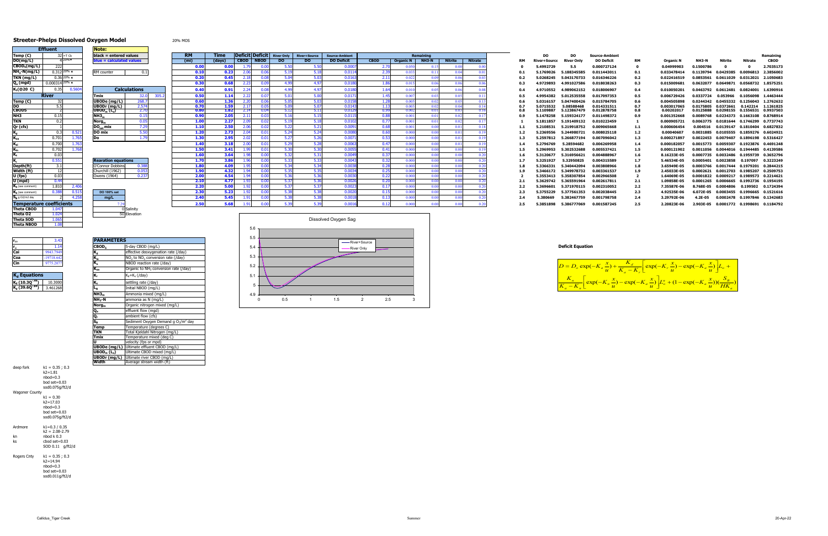|             |             | <b>IDeficitIDeficitI</b> River Only II | <b>River+Source</b> | <b>Source-Ambient</b> |             |                  | Remaining    |                |                |     | DO                  | <b>DO</b>         | <b>Source-Ambient</b> |           |                  |              |                                            |                       | Remaining   |
|-------------|-------------|----------------------------------------|---------------------|-----------------------|-------------|------------------|--------------|----------------|----------------|-----|---------------------|-------------------|-----------------------|-----------|------------------|--------------|--------------------------------------------|-----------------------|-------------|
| <b>CBOD</b> | <b>NBOD</b> | DO.                                    | DO.                 | <b>DO Deficit</b>     | <b>CBOD</b> | <b>Organic N</b> | <b>NH3-N</b> | <b>Nitrite</b> | <b>Nitrate</b> |     | <b>River+Source</b> | <b>River Only</b> | <b>DO Deficit</b>     | <b>RM</b> | <b>Organic N</b> | <b>NH3-N</b> | Nitrite                                    | Nitrate               | <b>CBOD</b> |
| 1.79        | 0.00        | 5.50                                   | 5.50                | 0.0007                | 2.70        | 0.050            | 0.15         | 0.00           |                |     | 5.4992729           | 5.5               | 0.000727124           |           | 0.04999903       | 0.1500786    |                                            | 0                     | 2.7035173   |
| 2.06        | 0.06        | 5.19                                   | 5.18                | 0.011                 | 2.39        | 0.033            | 0.11         | 0.04           |                | 0.1 | 5.1769026           | 5.188345585       | 0.011443011           | 0.1       | 0.033478414      | 0.1139794    | 0.0429385                                  | 0.0096813             | 2.3856002   |
| 2.18        | 0.08        | 5.04                                   | 5.03                | 0.0163                | 2.11        | 0.022            | 0.09         | 0.06           | -0.03          | 0.2 | 5.0268245           | 5.043170733       | 0.016346226           | 0.2       | 0.022416519      | 0.0853561    | 0.0611029  0.0312021  2.1050683            |                       |             |
| 2.23        | 0.09        | 4.99                                   | 4.97                | 0.018                 | 1.86        | 0.015            | 0.06         | 0.06           |                | 0.3 | 4.9729893           | 4.991027586       | 0.018038263           | 0.3       | 0.015009681      | 0.0632077    | 0.0649871  0.0568732  1.8575251            |                       |             |
| 2.24        | 0.08        | 4.99                                   | 4.97                | 0.018                 | 1.64        | 0.010            | 0.05         | 0.06           |                | 0.4 | 4.9710552           | 4.989062152       | 0.018006907           | 0.4       | 0.010050201      |              | 0.0463792 0.0612481 0.0824001 1.6390916    |                       |             |
| 2.22        | 0.07        | 5.01                                   | 5.00                | 0.017                 | 1.45        | 0.007            | 0.03         | 0.0            |                | 0.5 | 4.9954382           | 5.012535558       | 0.017097353           | 0.5       | 0.006729426      | 0.0337724    | 0.053966                                   | 0.1056098             | 1.4463444   |
| 2.20        | 0.06        | 5.05                                   | 5.03                | 0.0158                | 1.28        | 0.005            | 0.02         | 0.05           | 0.13           | 0.6 | 5.0316157           | 5.047400426       | 0.015784705           | 0.6       | 0.004505898      |              | 0.0244342  0.0455332  0.1256043  1.2762632 |                       |             |
| 2.17        | 0.05        | 5.09                                   | 5.07                | 0.0143                | 1.13        | 0.003            | 0.02         | 0.04           | 0.14           | 0.7 | 5.0715532           | 5.08588468        | 0.014331511           | 0.7       | 0.003017065      |              | 0.0175805 0.0372661 0.142214               |                       | 1.1261825   |
| 2.14        | 0.04        | 5.12                                   | 5.11                | 0.0129                | 0.99        | 0.002            | 0.01         | 0.03           |                | 0.8 | 5.1109887           | 5.123867479       | 0.012878758           | 0.8       | 0.00202017       | 0.0125888    | 0.0298155 0.1556531                        |                       | 0.9937503   |
| 2.11        | 0.03        | 5.16                                   | 5.15                | 0.0115                | 0.88        | 0.001            | 0.01         | 0.02           | $0.1^{\circ}$  | 0.9 | 5.1478258           | 5.159324177       | 0.011498372           | 0.9       | 0.001352668      | 0.0089768    | 0.0234373  0.1663108                       |                       | 0.8768914   |
| 2.09        | 0.02        | 5.19                                   | 5.18                | 0.0102                | 0.77        | 0.001            | 0.01         | 0.02           | $0.1^{\circ}$  |     | 5.1811857           | 5.191409132       | 0.010223459           |           | 0.000905721      |              | 0.0063775  0.0181644  0.1746299  0.7737743 |                       |             |
| 2.06        | 0.02        | 5.22                                   | 5.21                | 0.0091                | 0.68        | 0.001            | 0.00         | 0.01           | 0.18           | 1.1 | 5.2108531           | 5.219918752       | 0.009065668           | 1.1       | 0.000606454      | 0.004516     | 0.0139147  0.1810404  0.6827832            |                       |             |
| 2.04        | 0.01        | 5.24                                   | 5.24                | 0.008                 | 0.60        | 0.000            | 0.00         | 0.01           | 0.19           | 1.2 | 5.2369556           | 5.244980721       | 0.008025118           | 1.2       | 0.00040607       | 0.0031885    |                                            | 0.0105555   0.1859276 | 0.6024921   |
| 2.02        | 0.01        | 5.27                                   | 5.26                | 0.007                 | 0.53        | 0.000            | 0.00         | 0.01           | 0.19           | 1.3 | 5.2597812           | 5.266877194       | 0.007096042           | 1.3       | 0.000271897      |              | 0.0022453  0.0079407  0.1896198  0.5316427 |                       |             |
| 2.00        | 0.01        | 5.29                                   | 5.28                | 0.0063                | 0.47        | 0.000            | 0.00         | 0.01           | 0.19           | 1.4 | 5.2796769           | 5.28594682        | 0.006269958           | 1.4       | 0.000182057      | 0.0015773    | 0.0059307                                  | 0.1923876             | 0.4691248   |
| 1.99        | 0.01        | 5.30                                   | 5.30                | 0.0055                | 0.41        | 0.000            | 0.00         | 0.00           |                | 1.5 | 5.2969953           | 5.302532688       | 0.005537421           | 1.5       | 0.000121902      |              | 0.0011056 0.0044016 0.1944485 0.4139586    |                       |             |
| 1.98        | 0.00        | 5.32                                   | 5.31                | 0.0049                | 0.37        | 0.000            | 0.00         | 0.00           | 0.20           | 1.6 | 5.3120677           | 5.316956621       | 0.004888967           | 1.6       | 8.16233E-05      | 0.0007735    | 0.0032486 0.1959739                        |                       | 0.3652796   |
| 1.96        | 0.00        | 5.33                                   | 5.33                | 0.0043                | 0.32        | 0.000            | 0.00         | 0.00           |                | 1.7 | 5.3251927           | 5.32950825        | 0.004315589           | 1.7       | 5.46534E-05      | 0.0005401    | 0.0023858                                  | 0.197097              | 0.3223249   |
| 1.95        | 0.00        | 5.34                                   | 5.34                | 0.0038                | 0.28        | 0.000            | 0.00         | 0.00           | 0.20           | 1.8 | 5.3366331           | 5.340442094       | 0.003808966           | 1.8       | 3.65949E-05      |              | 0.0003766  0.0017444  0.1979201            |                       | 0.2844215   |
| 1.94        | 0.00        | 5.35                                   | 5.35                | 0.003                 | 0.25        | 0.000            | 0.00         | 0.00           |                | 1.9 | 5.3466172           | 5.349978732       | 0.003361537           | 1.9       | 2.45033E-05      |              | 0.0002621 0.0012703 0.1985207              |                       | 0.2509753   |
| 1.94        | 0.00        | 5.36                                   | 5.36                | 0.003                 | 0.22        | 0.000            | 0.00         | 0.00           | 0.20           |     | 5.3553413           | 5.358307854       | 0.002966508           |           | 1.64069E-05      | 0.0001822    | 0.0009217 0.1989573                        |                       | 0.2214621   |
| 1.93        | 0.00        | 5.37                                   | 5.36                | 0.002                 | 0.20        | 0.000            | 0.00         | 0.00           |                | 2.1 | 5.3629742           | 5.365591964       | 0.002617811           | 2.1       | 1.09858E-05      | 0.0001265    | 0.0006665                                  | 0.1992736             | 0.1954195   |
| 1.92        | 0.00        | 5.37                                   | 5.37                | 0.0023                | 0.17        | 0.000            | 0.00         | 0.00           |                | 2.2 | 5.3696601           | 5.371970115       | 0.002310052           | 2.2       | 7.35587E-06      |              | 8.768E-05 0.0004806                        | 0.199502              | 0.1724394   |
| 1.92        | 0.00        | 5.38                                   | 5.38                | 0.002                 | 0.15        | 0.000            | 0.00         | 0.00           |                | 2.3 | 5.3755229           | 5.377561353       | 0.002038445           | 2.3       | 4.92535E-06      | 6.072E-05    | 0.0003455  0.1996665  0.1521616            |                       |             |
| 1.91        | 0.00        | 5.38                                   | 5.38                | 0.001                 | 0.13        | 0.000            | 0.00         | 0.00           |                | 2.4 | 5.380669            | 5.382467759       | 0.001798758           | 2.4       | 3.29792E-06      | 4.2E-05      |                                            | 0.0002478 0.1997846   | 0.1342683   |
| 1.91        | 0.00        | 5.39                                   | 5.39                | 0.001                 | 0.12        | 0.000            |              | 0.00           | 0.20           | 2.5 | 5.3851898           | 5.386777069       | 0.001587245           | 2.5       | 2.20823E-06      |              | 2.903E-05  0.0001772  0.1998691  0.1184792 |                       |             |
|             |             |                                        |                     |                       |             |                  |              |                |                |     |                     |                   |                       |           |                  |              |                                            |                       |             |

#### **Streeter-Phelps Dissolved Oxygen Model** 20% MOS

|                                       | <b>Effluent</b>           |                         | Note:                                        |                 |
|---------------------------------------|---------------------------|-------------------------|----------------------------------------------|-----------------|
| Temp (C)                              |                           | $32 = T$ Ck             | black = entered values                       |                 |
| DO(mg/L)                              |                           | 4 20%▼                  | blue = calculated values                     |                 |
| $CBOD_5(mg/L)$                        | 222                       |                         |                                              |                 |
| $NH_3-N(mg/L)$                        |                           | $0.312$ 20% $\triangle$ | RM counter                                   |                 |
| TKN (mg/L)                            |                           | $0.36$ 20% $\triangle$  |                                              |                 |
| $Q_{\rm e}$ (mgd)                     | $0.000314$ <sup>20%</sup> |                         |                                              |                 |
| K <sub>1</sub> (@20 C)                | 0.35                      | 0.5604                  | <b>Calculation</b>                           |                 |
|                                       | <b>River</b>              |                         | <b>Tmix</b>                                  |                 |
| Temp (C)                              | 32                        |                         | UBODe (mg/L)                                 | $\overline{26}$ |
| DO                                    | 5.5                       |                         | <b>UBODr</b> (mg/L)                          | 2.              |
| CBOD5                                 | 2                         |                         | $\mathsf{UBOD}_\mathsf{m}$ (L <sub>o</sub> ) |                 |
| NH <sub>3</sub>                       | 0.15                      |                         | NH3 <sub>m</sub>                             |                 |
| <b>TKN</b>                            | 0.2                       |                         | Norg <sub>m</sub>                            |                 |
| $Qr$ (cfs)                            | 1                         |                         | DO <sub>sat</sub> mix                        |                 |
| K,                                    | 0.3                       | 0.521                   | DO mix                                       |                 |
| $\overline{\mathsf{K}}_{\mathrm{oa}}$ | 0.701                     | 1.765                   | Do                                           |                 |
| $K_{ai}$                              | 0.700                     | 1.763                   |                                              |                 |
| $K_{in}$                              | 0.702                     | 1.768                   |                                              |                 |
| K,                                    | 0.03                      |                         |                                              |                 |
| K,                                    | 0.551                     |                         | <b>Rearation equations</b>                   |                 |
| Depth(ft)                             | 3.1                       |                         | O'Connor Dobbins                             | 0.              |
| Width (ft)                            | 12                        |                         | Churchill (1962)                             | 0.              |
| U (fps)                               | 0.03                      |                         | Owens (1964)                                 | Ō.              |
| U (mpd)                               | 0.44                      |                         |                                              |                 |
| $K_a$ (see comment)                   | 1.810                     | 2.406                   |                                              |                 |
| $K_a$ (see comment)                   | 0.388                     | 0.515                   | DO 100% sat                                  |                 |
| $S_R$ q O2/m2 day                     | $\overline{2}$            | 4.258                   | mg/L                                         |                 |
| <b>Temperature coefficients</b>       |                           |                         | 7.29                                         |                 |
| <b>Theta CBOD</b>                     | 1.047                     |                         |                                              | 0 Salinity      |
| Theta 02                              | 1.024                     |                         | 50                                           | Elevation       |
| Theta SOD                             | 1.065                     |                         |                                              |                 |
| <b>Theta NBOD</b>                     | 1.08                      |                         |                                              |                 |

| Temp (C)                              |                                       | $32$ = T Ck            | $black = entered values$           |                     |                   |        |             |      |      | <b>Deficit Deficit</b> River Only River+Source | Source-Ambient    |             |                | <b>Remaining</b>  |         |                |     |                     | DO                | <b>Source-Ambient</b> |     |             |           |  | Remaining                                  |
|---------------------------------------|---------------------------------------|------------------------|------------------------------------|---------------------|-------------------|--------|-------------|------|------|------------------------------------------------|-------------------|-------------|----------------|-------------------|---------|----------------|-----|---------------------|-------------------|-----------------------|-----|-------------|-----------|--|--------------------------------------------|
| DO(mg/L)                              |                                       | $420\%$ v              | $blue = calculated values$         |                     | (m <sub>i</sub> ) | (days) | CBOD   NBOD |      | DO.  | DO.                                            | <b>DO Deficit</b> | <b>CBOD</b> |                | Organic N   NH3-N | Nitrite | <b>Nitrate</b> | RM  | <b>River+Source</b> | <b>River Only</b> | <b>DO Deficit</b>     | RM  | Organic I   |           |  | <b>CBOD</b>                                |
| CBOD <sub>5</sub> (mg/L)              |                                       |                        |                                    |                     | 0.00              |        |             |      |      |                                                | 0.000             |             |                |                   |         |                |     | 5.4992729           | 5.5               | 0.000727124           |     | 0.04999903  | 0.1500786 |  | 2.7035173                                  |
| NH <sub>3</sub> -N(mg/L)              | $0.312$ 20% $\triangle$               |                        | RM counter                         | 0.1                 | 0.10              | 0.23   |             | 0.06 | 5.19 | 5.18                                           | 0.011             |             |                |                   |         |                |     | 5.1769026           | 5.188345585       | 0.011443011           |     | 0.033478414 |           |  | 0.1139794  0.0429385  0.0096813  2.3856002 |
| TKN (mg/L)                            |                                       | $0.3620\%$ $\triangle$ |                                    |                     |                   | 0.45   | 2.18        |      |      | 5.03                                           | 0.016             | 2.11        | 0.022          |                   |         |                |     | 5.0268245           | 5.043170733       | 0.016346226           | 0.2 | 0.022416519 |           |  | 0.0853561  0.0611029  0.0312021  2.1050683 |
| Q <sub>e</sub> (mgd)                  | $0.000314$ <sup>20%</sup> $\triangle$ |                        |                                    |                     | 0.30              | 0.68   | 2.23        |      | 4.99 | 4.97                                           | 0.018             |             |                |                   |         |                |     | 4.9729893           | 4.991027586       | 0.018038263           | 0.3 | 0.015009681 |           |  | 0.0632077 0.0649871 0.0568732 1.8575251    |
| K1(@20 C)                             |                                       | 0.5604                 |                                    | <b>Calculations</b> | 0.40              | 0.91   |             |      | 4.99 | 4.97                                           | 0.018             | 1.64        |                |                   |         |                |     | 4.9710552           | 4.989062152       | 0.018006907           |     | 0.010050201 |           |  | 0.0463792  0.0612481  0.0824001  1.6390916 |
|                                       | <b>River</b>                          |                        | 'mix                               |                     | 0.50              | 1.14   | 2.27        |      |      |                                                | 0.017             | 1.45        |                |                   |         |                |     | 4.9954382           | 5.012535558       | 0.017097353           | 0.5 | 0.006729426 |           |  | 0.0337724  0.053966  0.1056098  1.4463444  |
| Temp (C)                              |                                       |                        | JBODe (mg/L)                       |                     | 0.60              | 1.36   | 2.20        |      |      |                                                | 0.0158            | 1.28        | $0.00^{\circ}$ |                   |         |                |     | 5.0316157           | 5.047400426       | 0.015784705           |     | 0.004505898 |           |  | 0.0244342  0.0455332  0.1256043  1.2762632 |
|                                       |                                       |                        | JBODr (mg/L)                       | 2.574               | 0.70              |        |             |      |      |                                                | 0.014             |             | -0.00          |                   |         |                |     | 5.0715532           | 5.08588468        | 0.014331511           |     | 0.003017065 |           |  | 0.0175805 0.0372661 0.142214 1.1261825     |
| <b>CBOD5</b>                          |                                       |                        | BOD <sub>m</sub> (L <sub>o</sub> ) |                     | 0.80              | 1.82   | 2.14        |      |      | 5.11                                           | 0.0129            | 0.99        | 0.002          |                   |         |                |     | 5.1109887           | 5.123867479       | 0.012878758           |     | 0.0020201   |           |  | 0.0125888  0.0298155  0.1556531  0.9937503 |
| NH3                                   | 0.15                                  |                        | NH3,,                              | 0.15                | 0.90              | 2.05   | 2.11        |      | 5.16 | 5.15                                           | 0.0115            | 0.88        | $0.00^{\circ}$ |                   |         |                |     | 5.1478258           | 5.159324177       | 0.011498372           |     | 0.001352668 |           |  | 0.0089768  0.0234373  0.1663108  0.8768914 |
| TKN                                   |                                       |                        | Nora                               | 0.05                | 1.00              | 2.27   | 2.09        |      |      |                                                | 0.010             | 0.77        | 0.00           |                   |         |                |     | 5.1811857           | 5.191409132       | 0.010223459           |     | 0.000905721 |           |  | 0.0063775  0.0181644  0.1746299  0.7737743 |
| Qr (cfs)                              |                                       |                        | $DO_{est}$ mix                     |                     | 1.10              | 2.50   |             |      |      | 5.21                                           | 0.009             |             | $0.00^{\circ}$ |                   |         |                |     | 5.2108531           | 5.219918752       | 0.009065668           |     | 0.000606454 |           |  | 0.004516  0.0139147  0.1810404  0.6827832  |
|                                       | 0.3                                   |                        | DO mix                             | 5.50                | 1.20              | 2.73   | 2.04        |      | 5.24 | 5.24                                           | 0.0080            | 0.60        | -0.000         |                   |         |                |     | 5.2369556           | 5.244980721       | 0.008025118           |     | 0.00040607  |           |  | 0.0031885  0.0105555  0.1859276  0.6024921 |
|                                       | 0.701                                 |                        |                                    | 1.79                | 1.30              | 2.95   |             |      | 5.21 |                                                | 0.0071            | 0.53        | 0.000          |                   |         |                |     | 5.2597812           | 5.266877194       | 0.007096042           |     | 0.000271897 |           |  | 0.0022453  0.0079407  0.1896198  0.5316427 |
|                                       | 0.700                                 |                        |                                    |                     | 1.40              | 3.18   |             |      |      |                                                | 0.006             | 0.47        |                |                   |         |                |     | 5.2796769           | 5.28594682        | 0.006269958           |     | 0.000182057 |           |  | 0.0015773  0.0059307  0.1923876  0.4691248 |
|                                       | 0.702                                 |                        |                                    |                     | 1.50              | 3.41   |             |      |      |                                                | 0.0055            | 0.41        | 0.000          |                   |         |                |     | 5.2969953           | 5.302532688       | 0.005537421           |     | 0.000121902 |           |  | 0.0011056  0.0044016  0.1944485  0.4139586 |
|                                       | 0.03                                  |                        |                                    |                     | 1.60              | 3.64   |             | 0.00 | 5.32 | 5.31                                           | 0.0049            | 0.37        | 0.000          |                   | -0.00   |                |     | 5.3120677           | 5.316956621       | 0.004888967           |     | 8.16233E-05 |           |  | 0.0007735  0.0032486  0.1959739  0.3652796 |
|                                       | 0.551                                 |                        | <b>Rearation equations</b>         |                     | 1.70              | 3.86 L |             |      |      | 5.33                                           | 0.0043            | 0.32        |                |                   |         |                |     | 5.3251927           | 5.32950825        | 0.004315589           |     | 5.46534E-05 |           |  | 0.0005401  0.0023858  0.197097  0.3223249  |
| Depth(ft)                             |                                       |                        | Connor Dobbins                     |                     | 1.80              | 4.09   |             |      | 5.34 |                                                | 0.0031            | 0.28        | 0.000          |                   |         |                |     | 5.336633            | 5.340442094       | 0.003808966           |     | 3.65949E-05 |           |  | 0.0003766  0.0017444  0.1979201  0.2844215 |
| Width (ft)                            |                                       |                        | Churchill (1962)                   |                     | 1.90              | 4.32   |             |      |      |                                                | 0.003             | 0.25        | -0.000         |                   |         |                |     | 5.3466172           | 5.349978732       | 0.003361537           |     | 2.45033E-05 |           |  | 0.0002621 0.0012703 0.1985207 0.2509753    |
| U (fps)                               | 0.03                                  |                        | ) wens (1964)                      | 0.237               | 2.00              | 4.54   | 1.94        | 0.00 | 5.36 |                                                | 0.003             | 0.22        | 0.00(          |                   | -0.00   |                |     | 5.3553413           | 5.358307854       | 0.002966508           |     | 1.64069E-05 |           |  | 0.0001822 0.0009217 0.1989573 0.2214621    |
| U (mpd)                               |                                       |                        |                                    |                     | 2.10              | 4.77   |             |      |      |                                                | n nn              |             |                |                   |         |                |     | 5.3629742           | 5.365591964       | 0.002617811           |     | 1.09858E-05 |           |  | 0.0001265  0.0006665  0.1992736  0.1954195 |
| $K_a$ (see comment)                   | 1.810                                 | 2.406                  |                                    |                     | 2.20              | 5.00   | 1.92        | 0.00 | 5.37 | 5.37                                           | 0.002             | 0.17        | 0.00(          |                   |         |                | 2.2 | 5.3696601           | 5.371970115       | 0.002310052           | 2.2 | 7.35587E-06 | 8.768E-05 |  | 0.0004806  0.199502  0.1724394             |
| $K_a$ (see comment)                   |                                       |                        | DO 100% sat                        |                     | 2.30              | 5.23   |             |      | 5.38 |                                                | 0.002             | 0.15        | 0.00(          |                   |         |                |     | 5.3755229           | 5.377561353       | 0.002038445           | 2.3 | 4.92535E-06 |           |  | 6.072E-05  0.0003455  0.1996665  0.1521616 |
| $\mathbf{S}_{\mathbf{B}}$ g O2/m2 day |                                       |                        | mg/L                               |                     | 2.40              | 5.45   |             |      |      |                                                | 0.001             |             | 0.000          |                   |         |                |     | 5.380669            | 5.382467759       | 0.001798758           | 2.4 | 3.29792E-06 | 4.2E-05   |  | 0.0002478  0.1997846  0.1342683            |
| <b>Temperature coefficients</b>       |                                       |                        |                                    |                     | 2.50              | 5.68   |             |      |      |                                                | 0.001             | 0.12        |                |                   |         |                | 2.5 | 5.3851898           | 5.386777069       | 0.001587245           | 2.5 | 2.20823E-06 |           |  | 2.903E-05  0.0001772  0.1998691  0.1184792 |
| Theta CROD $1047$                     |                                       |                        |                                    |                     |                   |        |             |      |      |                                                |                   |             |                |                   |         |                |     |                     |                   |                       |     |             |           |  |                                            |

| $r_{\rm oa}$ | 3.43       | <b>PARAMETERS</b> |
|--------------|------------|-------------------|
| $r_{oi}$     | 1.14       | CBOD <sub>5</sub> |
| Cai          | 9943.7949  | ĸ,                |
| Coa          | -19718.642 | K,                |
| Cin          | 9775.2077  | n,                |

| $K_d$ Equations                   |          |
|-----------------------------------|----------|
| $K_d (10.30^{-49})$               | 10.3000  |
| $K_d$ (39.60 $\overline{^{84}}$ ) | 3.461268 |

| $r_{oa}$                                | 3.43         | <b>PARAMETERS</b>                   |                                                           |
|-----------------------------------------|--------------|-------------------------------------|-----------------------------------------------------------|
| r <sub>oi</sub>                         | 1.14         | CBOD <sub>5</sub>                   | 5-day CBOD (mg/L)                                         |
| Cai                                     | 9943.7949    | K,                                  | effective deoxygenation rate (/day)                       |
| Coa                                     | $-19718.642$ | $K_{in}$                            | NO <sub>2</sub> to NO <sub>3</sub> conversion rate (/day) |
| Cin                                     | 9775.2077    | $K_n$                               | NBOD reaction rate (/day)                                 |
|                                         |              | $K_{\alpha a}$                      | Organic to NH <sub>3</sub> conversion rate (/day)         |
| K <sub>d</sub> Equations                |              | K,                                  | $K_d+K_s$ (/day)                                          |
| K <sub>d</sub> (10.3Q <sup>-.49</sup> ) | 10.3000      | K,                                  | settling rate (/day)                                      |
| K <sub>d</sub> (39.6Q <sup>-84</sup> )  | 3.461268     | L <sub>N</sub>                      | Initial NBOD (mg/L)                                       |
|                                         |              | NH3 <sub>m</sub>                    | Ammonia mixed (mg/L)                                      |
|                                         |              | NH <sub>3</sub> -N                  | ammonia as N (mg/L)                                       |
|                                         |              | Norg <sub>m</sub>                   | Organic nitrogen mixed (mg/L)                             |
|                                         |              | Q,                                  | effluent flow (mgd)                                       |
|                                         |              | Q,                                  | ambient flow (cfs)                                        |
|                                         |              | $S_{\rm B}$                         | Sediment Oxygen Demand g $O2/m2$ day                      |
|                                         |              | Temp                                | Temperature (degrees C)                                   |
|                                         |              | <b>TKN</b>                          | Total Kjeldahl Nitrogen (mg/L)                            |
|                                         |              | <b>Tmix</b>                         | Temperature mixed (deg C)                                 |
|                                         |              | U                                   | velocity (fps or mpd)                                     |
|                                         |              | $\overline{\text{UBODe}}$ (mg/L)    | Ultimate effluent CBOD (mq/L)                             |
|                                         |              | UBOD <sub>m</sub> (L <sub>0</sub> ) | Ultimate CBOD mixed (mg/L)                                |
|                                         |              | UBODr (mg/L)                        | Ultimate river CBOD (mg/L)                                |
|                                         |              | Width                               | Average stream width (ft)                                 |

|               | 50 Elevation                                      |     |     | Dissolved Oxygen Sag |               |     |  |  |                         |
|---------------|---------------------------------------------------|-----|-----|----------------------|---------------|-----|--|--|-------------------------|
|               |                                                   | 5.6 |     |                      |               |     |  |  |                         |
| <b>METERS</b> |                                                   | 5.5 |     |                      | -River+Source |     |  |  |                         |
|               | 5-day CBOD (mg/L)                                 | 5.4 |     |                      | -River Only   |     |  |  | <b>Deficit Equation</b> |
|               | effective deoxygenation rate (/day)               |     |     |                      |               |     |  |  |                         |
|               | $NO2$ to $NO3$ conversion rate (/day)             | 5.3 |     |                      |               |     |  |  |                         |
|               | NBOD reaction rate (/day)                         | 5.2 |     |                      |               |     |  |  |                         |
|               | Organic to NH <sub>3</sub> conversion rate (/day) |     |     |                      |               |     |  |  | $D = D_o \exp(r$        |
|               | $K_d+K_s$ (/day)                                  | 5.1 |     |                      |               |     |  |  | $K_n$                   |
|               | settling rate (/day)                              |     |     |                      |               |     |  |  | $\vert$ ex              |
|               | Initial NBOD (mg/L)                               |     |     |                      |               |     |  |  | $K_a - K_n$             |
|               | Ammonia mixed (mg/L)                              | 4.9 |     |                      |               |     |  |  |                         |
|               | ammonia as N (mg/L)                               |     | 0.5 | 1.5                  |               | 2.5 |  |  |                         |

| deep fork      | $k1 = 0.35 : 0.3$<br>k2=1.81<br>$n$ hod=0.3<br>$b$ od set= $0.03$<br>sod0.075q/ft2/d |
|----------------|--------------------------------------------------------------------------------------|
| Wagoner County |                                                                                      |
|                | $k1 = 0.30$<br>k2=17.03<br>$n$ hod=0.3<br>$b$ od set=0.03<br>sod0.075a/ft2/d         |
| Ardmore        | k1=0.3 / 0.35                                                                        |
|                | $k = 2.08 - 2.79$                                                                    |
| kn             | $n$ hod $k$ 0.3                                                                      |
| ks             | chod $set = 0.03$                                                                    |
|                | SOD 0.11<br>a/ft2/d                                                                  |

Rogers Cnty k1 = 0.35 ; 0.3 k2=14.94 nbod=0.3 bod set=0.03 sod0.011g/ft2/d



 $\exp(-K_n \stackrel{\sim}{\rightarrow}) - \exp(-K_n \stackrel{\sim}{\rightarrow})L_n^n + (1 - \exp(-K_n \stackrel{\sim}{\rightarrow}))(\frac{\sim B}{\sim}$  $\exp(-K_a -) + \frac{d}{\pi} \exp(-K_b -) - \exp(-K_a -)$ *a*  $\int_{a}^{R_n} \frac{\exp(-K_n \frac{\lambda}{u}) - \exp(-K_a \frac{\lambda}{u})}{\mu} \cdot \int_{a}^{B_n} \frac{F_n}{F_n} \cdot \frac{F_n}{F_n} \cdot \frac{F_n}{F_n} \cdot \frac{F_n}{F_n}$  $\frac{a}{a}$  -  $K_r$   $\left[\begin{array}{ccc} & 1 & \cdots & f \\ & & \ddots & \end{array} \right]$  *i*  $\left[\begin{array}{ccc} & 1 & \cdots & f \\ & & & \end{array} \right]$  *i*  $\left[\begin{array}{ccc} & & \cdots & f \\ & & & \end{array} \right]$ *HK*  $\frac{x}{u}$ )) $(\frac{S}{Hi})$  $\frac{x}{u}$ )  $\left| L^n_a + (1 - \exp(-K_a \frac{x}{u})) \right|$  $\frac{x}{u}$ ) – exp(– $K_a \frac{x}{u}$  $\frac{L}{u}$ <sup>L</sup>  $\frac{x}{u}$ ) – exp(– $K_a \frac{x}{u}$  $\left| \frac{K_d}{K_s - K_s} \right| \exp(-K_r) \frac{x}{u}$  $(\frac{x}{u}) + \frac{K}{K_a}$  $\frac{K_n}{K_n} \left[ \exp(-K_n \frac{x}{u}) - \exp(-K_a \frac{x}{u}) \right] L_0^n + (1 - \exp(-\frac{X_n}{u}))$  $= D_o \exp(-K_a \frac{x}{u}) + \frac{K_d}{K_a - K_r} \left[ \exp(-K_r \frac{x}{u}) - \exp(-K_a \frac{x}{u}) \right] L_o +$